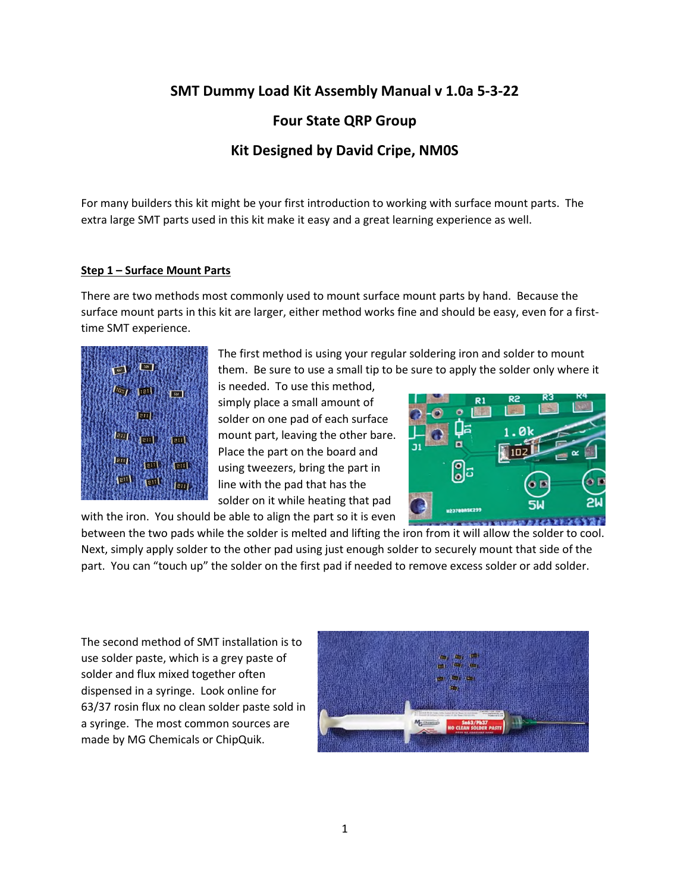# **SMT Dummy Load Kit Assembly Manual v 1.0a 5-3-22**

### **Four State QRP Group**

## **Kit Designed by David Cripe, NM0S**

For many builders this kit might be your first introduction to working with surface mount parts. The extra large SMT parts used in this kit make it easy and a great learning experience as well.

#### **Step 1 – Surface Mount Parts**

There are two methods most commonly used to mount surface mount parts by hand. Because the surface mount parts in this kit are larger, either method works fine and should be easy, even for a firsttime SMT experience.



The first method is using your regular soldering iron and solder to mount them. Be sure to use a small tip to be sure to apply the solder only where it

is needed. To use this method, simply place a small amount of solder on one pad of each surface mount part, leaving the other bare. Place the part on the board and using tweezers, bring the part in line with the pad that has the solder on it while heating that pad



between the two pads while the solder is melted and lifting the iron from it will allow the solder to cool. Next, simply apply solder to the other pad using just enough solder to securely mount that side of the part. You can "touch up" the solder on the first pad if needed to remove excess solder or add solder.

The second method of SMT installation is to use solder paste, which is a grey paste of solder and flux mixed together often dispensed in a syringe. Look online for 63/37 rosin flux no clean solder paste sold in a syringe. The most common sources are made by MG Chemicals or ChipQuik.

with the iron. You should be able to align the part so it is even

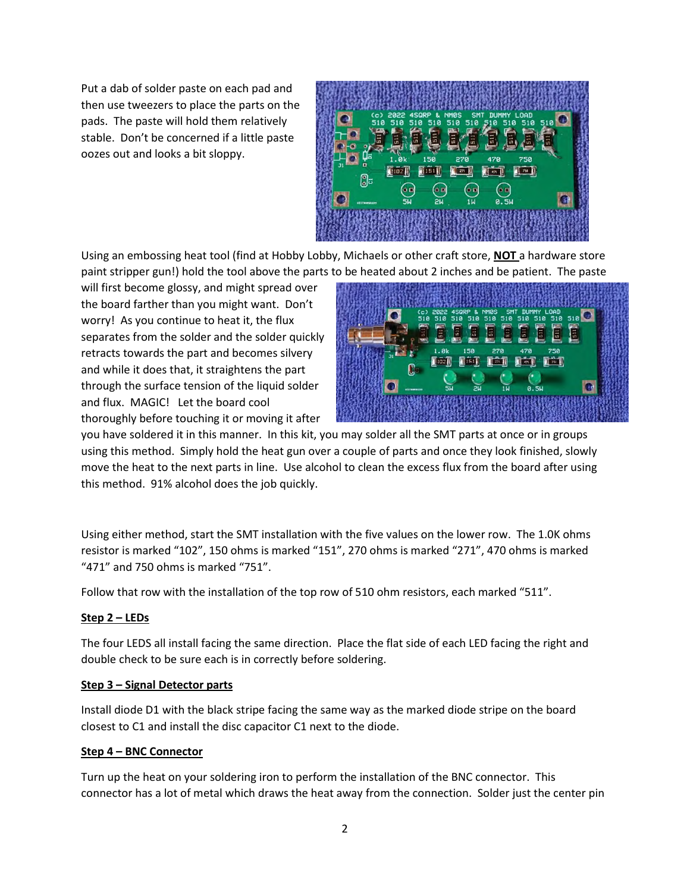Put a dab of solder paste on each pad and then use tweezers to place the parts on the pads. The paste will hold them relatively stable. Don't be concerned if a little paste oozes out and looks a bit sloppy.



Using an embossing heat tool (find at Hobby Lobby, Michaels or other craft store, **NOT** a hardware store paint stripper gun!) hold the tool above the parts to be heated about 2 inches and be patient. The paste

will first become glossy, and might spread over the board farther than you might want. Don't worry! As you continue to heat it, the flux separates from the solder and the solder quickly retracts towards the part and becomes silvery and while it does that, it straightens the part through the surface tension of the liquid solder and flux. MAGIC! Let the board cool thoroughly before touching it or moving it after



you have soldered it in this manner. In this kit, you may solder all the SMT parts at once or in groups using this method. Simply hold the heat gun over a couple of parts and once they look finished, slowly move the heat to the next parts in line. Use alcohol to clean the excess flux from the board after using this method. 91% alcohol does the job quickly.

Using either method, start the SMT installation with the five values on the lower row. The 1.0K ohms resistor is marked "102", 150 ohms is marked "151", 270 ohms is marked "271", 470 ohms is marked "471" and 750 ohms is marked "751".

Follow that row with the installation of the top row of 510 ohm resistors, each marked "511".

### **Step 2 – LEDs**

The four LEDS all install facing the same direction. Place the flat side of each LED facing the right and double check to be sure each is in correctly before soldering.

#### **Step 3 – Signal Detector parts**

Install diode D1 with the black stripe facing the same way as the marked diode stripe on the board closest to C1 and install the disc capacitor C1 next to the diode.

#### **Step 4 – BNC Connector**

Turn up the heat on your soldering iron to perform the installation of the BNC connector. This connector has a lot of metal which draws the heat away from the connection. Solder just the center pin